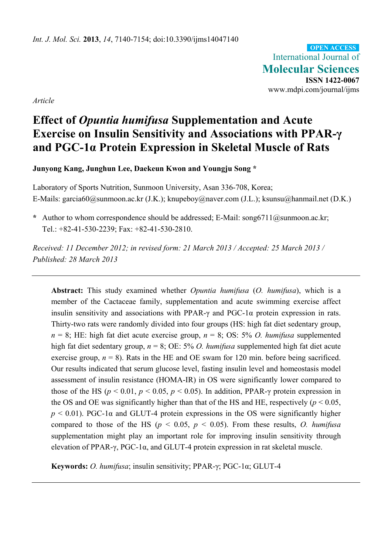International Journal of **Molecular Sciences ISSN 1422-0067**  www.mdpi.com/journal/ijms **OPEN ACCESS**

*Article* 

# **Effect of** *Opuntia humifusa* **Supplementation and Acute Exercise on Insulin Sensitivity and Associations with PPAR-γ and PGC-1α Protein Expression in Skeletal Muscle of Rats**

**Junyong Kang, Junghun Lee, Daekeun Kwon and Youngju Song \*** 

Laboratory of Sports Nutrition, Sunmoon University, Asan 336-708, Korea; E-Mails: garcia60@sunmoon.ac.kr (J.K.); knupeboy@naver.com (J.L.); ksunsu@hanmail.net (D.K.)

\* Author to whom correspondence should be addressed; E-Mail: song6711@sunmoon.ac.kr; Tel.: +82-41-530-2239; Fax: +82-41-530-2810.

*Received: 11 December 2012; in revised form: 21 March 2013 / Accepted: 25 March 2013 / Published: 28 March 2013* 

**Abstract:** This study examined whether *Opuntia humifusa* (*O. humifusa*), which is a member of the Cactaceae family, supplementation and acute swimming exercise affect insulin sensitivity and associations with PPAR- $\gamma$  and PGC-1 $\alpha$  protein expression in rats. Thirty-two rats were randomly divided into four groups (HS: high fat diet sedentary group,  $n = 8$ ; HE: high fat diet acute exercise group,  $n = 8$ ; OS: 5% *O. humifusa* supplemented high fat diet sedentary group, *n* = 8; OE: 5% *O. humifusa* supplemented high fat diet acute exercise group,  $n = 8$ ). Rats in the HE and OE swam for 120 min. before being sacrificed. Our results indicated that serum glucose level, fasting insulin level and homeostasis model assessment of insulin resistance (HOMA-IR) in OS were significantly lower compared to those of the HS ( $p < 0.01$ ,  $p < 0.05$ ,  $p < 0.05$ ). In addition, PPAR- $\gamma$  protein expression in the OS and OE was significantly higher than that of the HS and HE, respectively ( $p < 0.05$ ,  $p \le 0.01$ ). PGC-1 $\alpha$  and GLUT-4 protein expressions in the OS were significantly higher compared to those of the HS ( $p < 0.05$ ,  $p < 0.05$ ). From these results, *O. humifusa* supplementation might play an important role for improving insulin sensitivity through elevation of PPAR-γ, PGC-1α, and GLUT-4 protein expression in rat skeletal muscle.

**Keywords:** *O. humifusa*; insulin sensitivity; PPAR-γ; PGC-1α; GLUT-4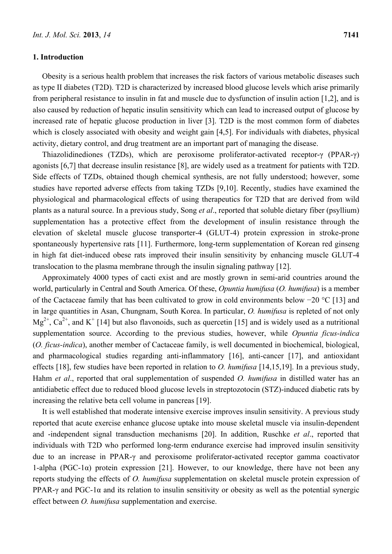## **1. Introduction**

Obesity is a serious health problem that increases the risk factors of various metabolic diseases such as type II diabetes (T2D). T2D is characterized by increased blood glucose levels which arise primarily from peripheral resistance to insulin in fat and muscle due to dysfunction of insulin action [1,2], and is also caused by reduction of hepatic insulin sensitivity which can lead to increased output of glucose by increased rate of hepatic glucose production in liver [3]. T2D is the most common form of diabetes which is closely associated with obesity and weight gain [4,5]. For individuals with diabetes, physical activity, dietary control, and drug treatment are an important part of managing the disease.

Thiazolidinediones (TZDs), which are peroxisome proliferator-activated receptor-γ (PPAR-γ) agonists [6,7] that decrease insulin resistance [8], are widely used as a treatment for patients with T2D. Side effects of TZDs, obtained though chemical synthesis, are not fully understood; however, some studies have reported adverse effects from taking TZDs [9,10]. Recently, studies have examined the physiological and pharmacological effects of using therapeutics for T2D that are derived from wild plants as a natural source. In a previous study, Song *et al*., reported that soluble dietary fiber (psyllium) supplementation has a protective effect from the development of insulin resistance through the elevation of skeletal muscle glucose transporter-4 (GLUT-4) protein expression in stroke-prone spontaneously hypertensive rats [11]. Furthermore, long-term supplementation of Korean red ginseng in high fat diet-induced obese rats improved their insulin sensitivity by enhancing muscle GLUT-4 translocation to the plasma membrane through the insulin signaling pathway [12].

Approximately 4000 types of cacti exist and are mostly grown in semi-arid countries around the world, particularly in Central and South America. Of these, *Opuntia humifusa* (*O. humifusa*) is a member of the Cactaceae family that has been cultivated to grow in cold environments below −20 °C [13] and in large quantities in Asan, Chungnam, South Korea. In particular, *O. humifusa* is repleted of not only  $Mg^{2+}$ ,  $Ca^{2+}$ , and K<sup>+</sup> [14] but also flavonoids, such as quercetin [15] and is widely used as a nutritional supplementation source. According to the previous studies, however, while *Opuntia ficus-indica*  (*O. ficus-indica*), another member of Cactaceae family, is well documented in biochemical, biological, and pharmacological studies regarding anti-inflammatory [16], anti-cancer [17], and antioxidant effects [18], few studies have been reported in relation to *O. humifusa* [14,15,19]. In a previous study, Hahm *et al*., reported that oral supplementation of suspended *O. humifusa* in distilled water has an antidiabetic effect due to reduced blood glucose levels in streptozotocin (STZ)-induced diabetic rats by increasing the relative beta cell volume in pancreas [19].

It is well established that moderate intensive exercise improves insulin sensitivity. A previous study reported that acute exercise enhance glucose uptake into mouse skeletal muscle via insulin-dependent and -independent signal transduction mechanisms [20]. In addition, Ruschke *et al*., reported that individuals with T2D who performed long-term endurance exercise had improved insulin sensitivity due to an increase in PPAR-γ and peroxisome proliferator-activated receptor gamma coactivator 1-alpha (PGC-1 $\alpha$ ) protein expression [21]. However, to our knowledge, there have not been any reports studying the effects of *O. humifusa* supplementation on skeletal muscle protein expression of PPAR-γ and PGC-1 $\alpha$  and its relation to insulin sensitivity or obesity as well as the potential synergic effect between *O. humifusa* supplementation and exercise.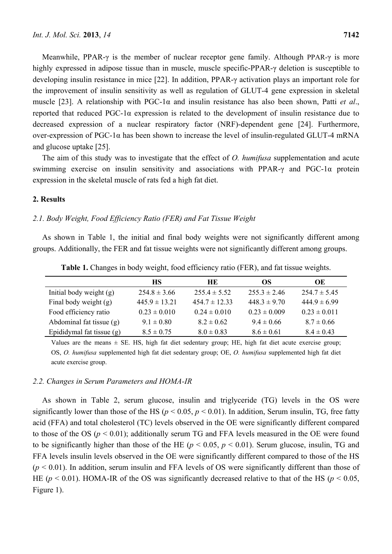Meanwhile, PPAR-γ is the member of nuclear receptor gene family. Although PPAR-γ is more highly expressed in adipose tissue than in muscle, muscle specific-PPAR-γ deletion is susceptible to developing insulin resistance in mice [22]. In addition, PPAR-γ activation plays an important role for the improvement of insulin sensitivity as well as regulation of GLUT-4 gene expression in skeletal muscle [23]. A relationship with PGC-1α and insulin resistance has also been shown, Patti *et al*., reported that reduced PGC-1α expression is related to the development of insulin resistance due to decreased expression of a nuclear respiratory factor (NRF)-dependent gene [24]. Furthermore, over-expression of PGC-1α has been shown to increase the level of insulin-regulated GLUT-4 mRNA and glucose uptake [25].

The aim of this study was to investigate that the effect of *O. humifusa* supplementation and acute swimming exercise on insulin sensitivity and associations with PPAR-γ and PGC-1α protein expression in the skeletal muscle of rats fed a high fat diet.

# **2. Results**

### *2.1. Body Weight, Food Efficiency Ratio (FER) and Fat Tissue Weight*

As shown in Table 1, the initial and final body weights were not significantly different among groups. Additionally, the FER and fat tissue weights were not significantly different among groups.

|                           | <b>HS</b>         | <b>HE</b>         | OS.              | OE               |
|---------------------------|-------------------|-------------------|------------------|------------------|
| Initial body weight $(g)$ | $254.8 \pm 3.66$  | $255.4 \pm 5.52$  | $255.3 \pm 2.46$ | $254.7 \pm 5.45$ |
| Final body weight (g)     | $445.9 \pm 13.21$ | $454.7 \pm 12.33$ | $448.3 \pm 9.70$ | $4449 \pm 699$   |
| Food efficiency ratio     | $0.23 \pm 0.010$  | $0.24 \pm 0.010$  | $0.23 \pm 0.009$ | $0.23 \pm 0.011$ |
| Abdominal fat tissue (g)  | $9.1 \pm 0.80$    | $8.2 \pm 0.62$    | $9.4 \pm 0.66$   | $8.7 \pm 0.66$   |
| Epididymal fat tissue (g) | $8.5 \pm 0.75$    | $8.0 \pm 0.83$    | $8.6 \pm 0.61$   | $8.4 \pm 0.43$   |

**Table 1.** Changes in body weight, food efficiency ratio (FER), and fat tissue weights.

Values are the means  $\pm$  SE. HS, high fat diet sedentary group; HE, high fat diet acute exercise group; OS, *O. humifusa* supplemented high fat diet sedentary group; OE, *O. humifusa* supplemented high fat diet acute exercise group.

#### *2.2. Changes in Serum Parameters and HOMA-IR*

As shown in Table 2, serum glucose, insulin and triglyceride (TG) levels in the OS were significantly lower than those of the HS ( $p < 0.05$ ,  $p < 0.01$ ). In addition, Serum insulin, TG, free fatty acid (FFA) and total cholesterol (TC) levels observed in the OE were significantly different compared to those of the OS (*p* < 0.01); additionally serum TG and FFA levels measured in the OE were found to be significantly higher than those of the HE ( $p < 0.05$ ,  $p < 0.01$ ). Serum glucose, insulin, TG and FFA levels insulin levels observed in the OE were significantly different compared to those of the HS  $(p < 0.01)$ . In addition, serum insulin and FFA levels of OS were significantly different than those of HE ( $p \le 0.01$ ). HOMA-IR of the OS was significantly decreased relative to that of the HS ( $p \le 0.05$ , Figure 1).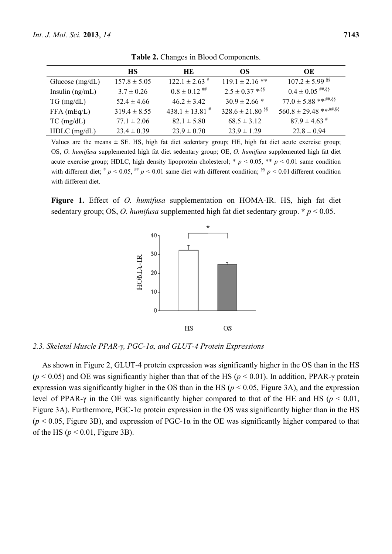|                   | <b>HS</b>        | HE.                            | OS.                              | OE                             |
|-------------------|------------------|--------------------------------|----------------------------------|--------------------------------|
| Glucose $(mg/dL)$ | $157.8 \pm 5.05$ | $122.1 \pm 2.63$ <sup>#</sup>  | $119.1 \pm 2.16$ **              | $107.2 \pm 5.99$ <sup>§§</sup> |
| Insulin $(ng/mL)$ | $3.7 \pm 0.26$   | $0.8 \pm 0.12$ ##              | $2.5 \pm 0.37$ * <sup>\$\$</sup> | $0.4 \pm 0.05$ ##, \$\$        |
| $TG \, (mg/dL)$   | $52.4 \pm 4.66$  | $46.2 \pm 3.42$                | $30.9 \pm 2.66$ *                | $77.0 \pm 5.88$ ******.\$\$    |
| $FFA$ (mEq/L)     | $319.4 \pm 8.55$ | $438.1 \pm 13.81$ <sup>#</sup> | $328.6 \pm 21.80$ <sup>§§</sup>  |                                |
| $TC$ (mg/dL)      | $77.1 \pm 2.06$  | $82.1 \pm 5.80$                | $68.5 \pm 3.12$                  | $87.9 \pm 4.63$ <sup>#</sup>   |
| $HDLC$ (mg/dL)    | $23.4 \pm 0.39$  | $23.9 \pm 0.70$                | $23.9 \pm 1.29$                  | $22.8 \pm 0.94$                |

**Table 2.** Changes in Blood Components.

Values are the means  $\pm$  SE. HS, high fat diet sedentary group; HE, high fat diet acute exercise group; OS, *O. humifusa* supplemented high fat diet sedentary group; OE, *O. humifusa* supplemented high fat diet acute exercise group; HDLC, high density lipoprotein cholesterol;  $p < 0.05$ ,  $\ast p < 0.01$  same condition with different diet;  $\# p \lt 0.05$ ,  $\# p \lt 0.01$  same diet with different condition;  $\frac{88}{3} p \lt 0.01$  different condition with different diet.

**Figure 1.** Effect of *O. humifusa* supplementation on HOMA-IR. HS, high fat diet sedentary group; OS, *O. humifusa* supplemented high fat diet sedentary group. **\*** *p* < 0.05.



## *2.3. Skeletal Muscle PPAR-γ, PGC-1α, and GLUT-4 Protein Expressions*

As shown in Figure 2, GLUT-4 protein expression was significantly higher in the OS than in the HS (*p* < 0.05) and OE was significantly higher than that of the HS (*p* < 0.01). In addition, PPAR-γ protein expression was significantly higher in the OS than in the HS ( $p < 0.05$ , Figure 3A), and the expression level of PPAR-γ in the OE was significantly higher compared to that of the HE and HS (*p* < 0.01, Figure 3A). Furthermore, PGC-1 $\alpha$  protein expression in the OS was significantly higher than in the HS ( $p$  < 0.05, Figure 3B), and expression of PGC-1 $\alpha$  in the OE was significantly higher compared to that of the HS ( $p < 0.01$ , Figure 3B).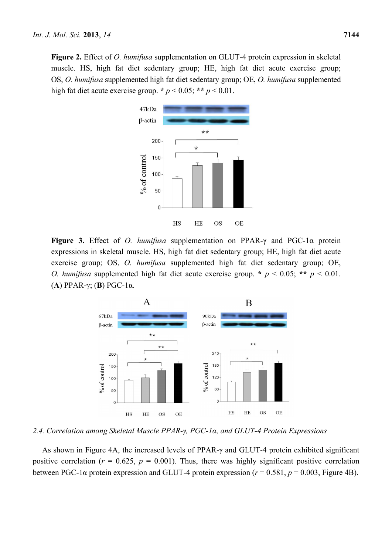**Figure 2.** Effect of *O. humifusa* supplementation on GLUT-4 protein expression in skeletal muscle. HS, high fat diet sedentary group; HE, high fat diet acute exercise group; OS, *O. humifusa* supplemented high fat diet sedentary group; OE, *O. humifusa* supplemented high fat diet acute exercise group. **\*** *p* < 0.05; **\*\*** *p* < 0.01.



**Figure 3.** Effect of *O. humifusa* supplementation on PPAR-γ and PGC-1α protein expressions in skeletal muscle. HS, high fat diet sedentary group; HE, high fat diet acute exercise group; OS, *O. humifusa* supplemented high fat diet sedentary group; OE, *O. humifusa* supplemented high fat diet acute exercise group. **\*** *p* < 0.05; **\*\*** *p* < 0.01. (**A**) PPAR-γ; (**B**) PGC-1α.



*2.4. Correlation among Skeletal Muscle PPAR-γ, PGC-1α, and GLUT-4 Protein Expressions* 

As shown in Figure 4A, the increased levels of PPAR-γ and GLUT-4 protein exhibited significant positive correlation ( $r = 0.625$ ,  $p = 0.001$ ). Thus, there was highly significant positive correlation between PGC-1 $\alpha$  protein expression and GLUT-4 protein expression ( $r = 0.581$ ,  $p = 0.003$ , Figure 4B).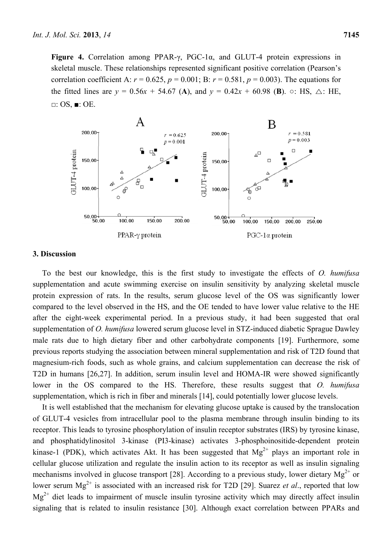**Figure 4.** Correlation among PPAR-γ, PGC-1α, and GLUT-4 protein expressions in skeletal muscle. These relationships represented significant positive correlation (Pearson's correlation coefficient A:  $r = 0.625$ ,  $p = 0.001$ ; B:  $r = 0.581$ ,  $p = 0.003$ ). The equations for the fitted lines are  $y = 0.56x + 54.67$  (A), and  $y = 0.42x + 60.98$  (B).  $\circ$ : HS,  $\triangle$ : HE, □: OS, ■: OE.



## **3. Discussion**

To the best our knowledge, this is the first study to investigate the effects of *O. humifusa* supplementation and acute swimming exercise on insulin sensitivity by analyzing skeletal muscle protein expression of rats. In the results, serum glucose level of the OS was significantly lower compared to the level observed in the HS, and the OE tended to have lower value relative to the HE after the eight-week experimental period. In a previous study, it had been suggested that oral supplementation of *O. humifusa* lowered serum glucose level in STZ-induced diabetic Sprague Dawley male rats due to high dietary fiber and other carbohydrate components [19]. Furthermore, some previous reports studying the association between mineral supplementation and risk of T2D found that magnesium-rich foods, such as whole grains, and calcium supplementation can decrease the risk of T2D in humans [26,27]. In addition, serum insulin level and HOMA-IR were showed significantly lower in the OS compared to the HS. Therefore, these results suggest that *O. humifusa* supplementation, which is rich in fiber and minerals [14], could potentially lower glucose levels.

It is well established that the mechanism for elevating glucose uptake is caused by the translocation of GLUT-4 vesicles from intracellular pool to the plasma membrane through insulin binding to its receptor. This leads to tyrosine phosphorylation of insulin receptor substrates (IRS) by tyrosine kinase, and phosphatidylinositol 3-kinase (PI3-kinase) activates 3-phosphoinositide-dependent protein kinase-1 (PDK), which activates Akt. It has been suggested that  $Mg^{2+}$  plays an important role in cellular glucose utilization and regulate the insulin action to its receptor as well as insulin signaling mechanisms involved in glucose transport [28]. According to a previous study, lower dietary  $Mg^{2+}$  or lower serum Mg<sup>2+</sup> is associated with an increased risk for T2D [29]. Suarez *et al.*, reported that low  $Mg^{2+}$  diet leads to impairment of muscle insulin tyrosine activity which may directly affect insulin signaling that is related to insulin resistance [30]. Although exact correlation between PPARs and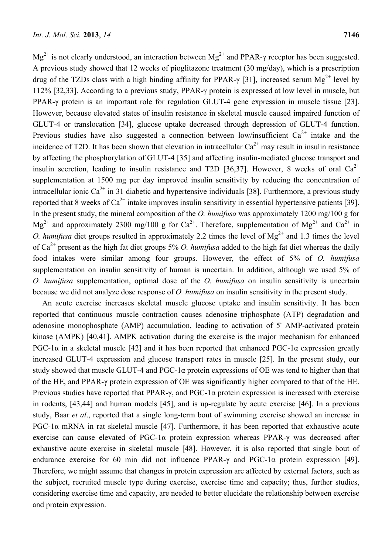$Mg^{2+}$  is not clearly understood, an interaction between  $Mg^{2+}$  and PPAR- $\gamma$  receptor has been suggested. A previous study showed that 12 weeks of pioglitazone treatment (30 mg/day), which is a prescription drug of the TZDs class with a high binding affinity for PPAR- $\gamma$  [31], increased serum Mg<sup>2+</sup> level by 112% [32,33]. According to a previous study, PPAR-γ protein is expressed at low level in muscle, but PPAR-γ protein is an important role for regulation GLUT-4 gene expression in muscle tissue [23]. However, because elevated states of insulin resistance in skeletal muscle caused impaired function of GLUT-4 or translocation [34], glucose uptake decreased through depression of GLUT-4 function. Previous studies have also suggested a connection between low/insufficient  $Ca^{2+}$  intake and the incidence of T2D. It has been shown that elevation in intracellular  $Ca^{2+}$  may result in insulin resistance by affecting the phosphorylation of GLUT-4 [35] and affecting insulin-mediated glucose transport and insulin secretion, leading to insulin resistance and T2D [36,37]. However, 8 weeks of oral  $Ca^{2+}$ supplementation at 1500 mg per day improved insulin sensitivity by reducing the concentration of intracellular ionic  $Ca^{2+}$  in 31 diabetic and hypertensive individuals [38]. Furthermore, a previous study reported that 8 weeks of  $Ca^{2+}$  intake improves insulin sensitivity in essential hypertensive patients [39]. In the present study, the mineral composition of the *O. humifusa* was approximately 1200 mg/100 g for  $Mg^{2+}$  and approximately 2300 mg/100 g for Ca<sup>2+</sup>. Therefore, supplementation of  $Mg^{2+}$  and Ca<sup>2+</sup> in *O. humifusa* diet groups resulted in approximately 2.2 times the level of  $Mg^{2+}$  and 1.3 times the level of Ca2+ present as the high fat diet groups 5% *O. humifusa* added to the high fat diet whereas the daily food intakes were similar among four groups. However, the effect of 5% of *O. humifusa* supplementation on insulin sensitivity of human is uncertain. In addition, although we used 5% of *O. humifusa* supplementation, optimal dose of the *O. humifusa* on insulin sensitivity is uncertain because we did not analyze dose response of *O. humifusa* on insulin sensitivity in the present study.

An acute exercise increases skeletal muscle glucose uptake and insulin sensitivity. It has been reported that continuous muscle contraction causes adenosine triphosphate (ATP) degradation and adenosine monophosphate (AMP) accumulation, leading to activation of 5' AMP-activated protein kinase (AMPK) [40,41]. AMPK activation during the exercise is the major mechanism for enhanced PGC-1 $\alpha$  in a skeletal muscle [42] and it has been reported that enhanced PGC-1 $\alpha$  expression greatly increased GLUT-4 expression and glucose transport rates in muscle [25]. In the present study, our study showed that muscle GLUT-4 and PGC-1α protein expressions of OE was tend to higher than that of the HE, and PPAR-γ protein expression of OE was significantly higher compared to that of the HE. Previous studies have reported that PPAR-γ, and PGC-1α protein expression is increased with exercise in rodents, [43,44] and human models [45], and is up-regulate by acute exercise [46]. In a previous study, Baar *et al*., reported that a single long-term bout of swimming exercise showed an increase in PGC-1 $\alpha$  mRNA in rat skeletal muscle [47]. Furthermore, it has been reported that exhaustive acute exercise can cause elevated of PGC-1α protein expression whereas PPAR-γ was decreased after exhaustive acute exercise in skeletal muscle [48]. However, it is also reported that single bout of endurance exercise for 60 min did not influence PPAR-γ and PGC-1α protein expression [49]. Therefore, we might assume that changes in protein expression are affected by external factors, such as the subject, recruited muscle type during exercise, exercise time and capacity; thus, further studies, considering exercise time and capacity, are needed to better elucidate the relationship between exercise and protein expression.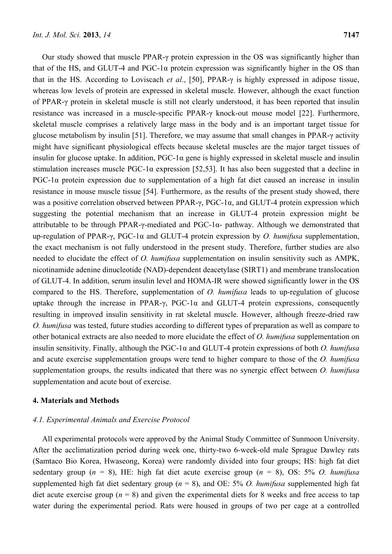Our study showed that muscle PPAR-γ protein expression in the OS was significantly higher than that of the HS, and GLUT-4 and PGC-1α protein expression was significantly higher in the OS than that in the HS. According to Loviscach *et al*., [50], PPAR-γ is highly expressed in adipose tissue, whereas low levels of protein are expressed in skeletal muscle. However, although the exact function of PPAR-γ protein in skeletal muscle is still not clearly understood, it has been reported that insulin resistance was increased in a muscle-specific PPAR-γ knock-out mouse model [22]. Furthermore, skeletal muscle comprises a relatively large mass in the body and is an important target tissue for glucose metabolism by insulin [51]. Therefore, we may assume that small changes in PPAR-γ activity might have significant physiological effects because skeletal muscles are the major target tissues of insulin for glucose uptake. In addition,  $PGC-1\alpha$  gene is highly expressed in skeletal muscle and insulin stimulation increases muscle PGC-1α expression [52,53]. It has also been suggested that a decline in  $PGC-1\alpha$  protein expression due to supplementation of a high fat diet caused an increase in insulin resistance in mouse muscle tissue [54]. Furthermore, as the results of the present study showed, there was a positive correlation observed between PPAR-γ, PGC-1 $\alpha$ , and GLUT-4 protein expression which suggesting the potential mechanism that an increase in GLUT-4 protein expression might be attributable to be through PPAR-γ-mediated and PGC-1α- pathway. Although we demonstrated that up-regulation of PPAR-γ, PGC-1α and GLUT-4 protein expression by *O. humifusa* supplementation, the exact mechanism is not fully understood in the present study. Therefore, further studies are also needed to elucidate the effect of *O. humifusa* supplementation on insulin sensitivity such as AMPK, nicotinamide adenine dinucleotide (NAD)-dependent deacetylase (SIRT1) and membrane translocation of GLUT-4. In addition, serum insulin level and HOMA-IR were showed significantly lower in the OS compared to the HS. Therefore, supplementation of *O. humifusa* leads to up-regulation of glucose uptake through the increase in PPAR- $\gamma$ , PGC-1 $\alpha$  and GLUT-4 protein expressions, consequently resulting in improved insulin sensitivity in rat skeletal muscle. However, although freeze-dried raw *O. humifusa* was tested, future studies according to different types of preparation as well as compare to other botanical extracts are also needed to more elucidate the effect of *O. humifusa* supplementation on insulin sensitivity. Finally, although the PGC-1α and GLUT-4 protein expressions of both *O. humifusa* and acute exercise supplementation groups were tend to higher compare to those of the *O. humifusa* supplementation groups, the results indicated that there was no synergic effect between *O. humifusa* supplementation and acute bout of exercise.

#### **4. Materials and Methods**

## *4.1. Experimental Animals and Exercise Protocol*

All experimental protocols were approved by the Animal Study Committee of Sunmoon University. After the acclimatization period during week one, thirty-two 6-week-old male Sprague Dawley rats (Samtaco Bio Korea, Hwaseong, Korea) were randomly divided into four groups; HS: high fat diet sedentary group (*n* = 8), HE: high fat diet acute exercise group (*n* = 8), OS: 5% *O. humifusa* supplemented high fat diet sedentary group ( $n = 8$ ), and OE: 5% *O. humifusa* supplemented high fat diet acute exercise group  $(n = 8)$  and given the experimental diets for 8 weeks and free access to tap water during the experimental period. Rats were housed in groups of two per cage at a controlled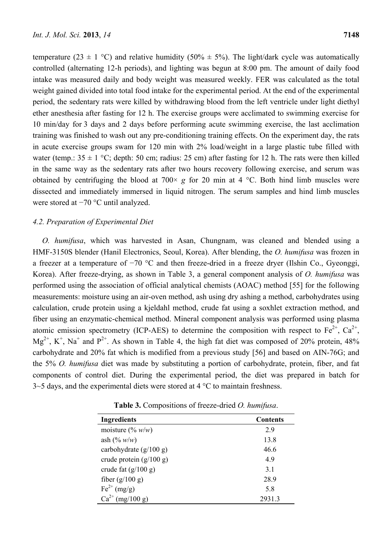temperature (23  $\pm$  1 °C) and relative humidity (50%  $\pm$  5%). The light/dark cycle was automatically controlled (alternating 12-h periods), and lighting was begun at 8:00 pm. The amount of daily food intake was measured daily and body weight was measured weekly. FER was calculated as the total weight gained divided into total food intake for the experimental period. At the end of the experimental period, the sedentary rats were killed by withdrawing blood from the left ventricle under light diethyl ether anesthesia after fasting for 12 h. The exercise groups were acclimated to swimming exercise for 10 min/day for 3 days and 2 days before performing acute swimming exercise, the last acclimation training was finished to wash out any pre-conditioning training effects. On the experiment day, the rats in acute exercise groups swam for 120 min with 2% load/weight in a large plastic tube filled with water (temp.:  $35 \pm 1$  °C; depth: 50 cm; radius: 25 cm) after fasting for 12 h. The rats were then killed in the same way as the sedentary rats after two hours recovery following exercise, and serum was obtained by centrifuging the blood at  $700 \times g$  for 20 min at 4 °C. Both hind limb muscles were dissected and immediately immersed in liquid nitrogen. The serum samples and hind limb muscles were stored at −70 °C until analyzed.

## *4.2. Preparation of Experimental Diet*

*O. humifusa*, which was harvested in Asan, Chungnam, was cleaned and blended using a HMF-3150S blender (Hanil Electronics, Seoul, Korea). After blending, the *O. humifusa* was frozen in a freezer at a temperature of −70 °C and then freeze-dried in a freeze dryer (Ilshin Co., Gyeonggi, Korea). After freeze-drying, as shown in Table 3, a general component analysis of *O. humifusa* was performed using the association of official analytical chemists (AOAC) method [55] for the following measurements: moisture using an air-oven method, ash using dry ashing a method, carbohydrates using calculation, crude protein using a kjeldahl method, crude fat using a soxhlet extraction method, and fiber using an enzymatic-chemical method. Mineral component analysis was performed using plasma atomic emission spectrometry (ICP-AES) to determine the composition with respect to  $Fe^{2+}$ ,  $Ca^{2+}$ ,  $Mg^{2+}$ , K<sup>+</sup>, Na<sup>+</sup> and P<sup>2+</sup>. As shown in Table 4, the high fat diet was composed of 20% protein, 48% carbohydrate and 20% fat which is modified from a previous study [56] and based on AIN-76G; and the 5% *O. humifusa* diet was made by substituting a portion of carbohydrate, protein, fiber, and fat components of control diet. During the experimental period, the diet was prepared in batch for  $3-5$  days, and the experimental diets were stored at 4 °C to maintain freshness.

| <b>Ingredients</b>                          | <b>Contents</b> |
|---------------------------------------------|-----------------|
| moisture (% $w/w$ )                         | 29              |
| ash $(\% w/w)$                              | 13.8            |
| carbohydrate $(g/100 g)$                    | 46.6            |
| crude protein $(g/100 g)$                   | 4.9             |
| crude fat $(g/100 g)$                       | 31              |
| fiber $(g/100 g)$                           | 28.9            |
| $\text{Fe}^{2+} \left( \text{mg/g} \right)$ | 5.8             |
| $Ca^{2+}$<br>(mg/100 g)                     | 2931.3          |

**Table 3.** Compositions of freeze-dried *O. humifusa*.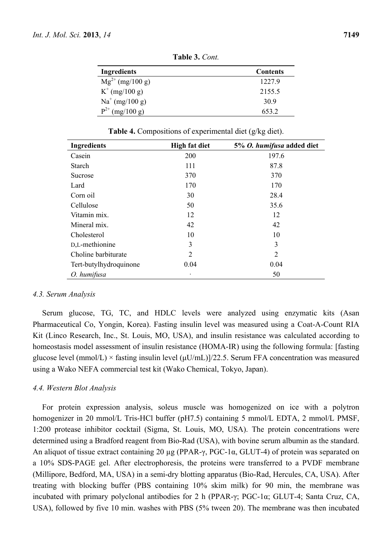**Table 3.** *Cont.*

| Ingredients          | <b>Contents</b> |
|----------------------|-----------------|
| $Mg^{2+}$ (mg/100 g) | 1227.9          |
| $K^+$ (mg/100 g)     | 2155.5          |
| $Na^{+}$ (mg/100 g)  | 30.9            |
| $P^{2+}$ (mg/100 g)  | 653.2           |

**Table 4.** Compositions of experimental diet (g/kg diet).

| <b>Ingredients</b>     | <b>High fat diet</b> | 5% O. humifusa added diet |
|------------------------|----------------------|---------------------------|
| Casein                 | 200                  | 197.6                     |
| Starch                 | 111                  | 87.8                      |
| Sucrose                | 370                  | 370                       |
| Lard                   | 170                  | 170                       |
| Corn oil               | 30                   | 28.4                      |
| Cellulose              | 50                   | 35.6                      |
| Vitamin mix.           | 12                   | 12                        |
| Mineral mix.           | 42                   | 42                        |
| Cholesterol            | 10                   | 10                        |
| D,L-methionine         | 3                    | 3                         |
| Choline barbiturate    | 2                    | $\overline{2}$            |
| Tert-butylhydroquinone | 0.04                 | 0.04                      |
| O. humifusa            |                      | 50                        |

#### *4.3. Serum Analysis*

Serum glucose, TG, TC, and HDLC levels were analyzed using enzymatic kits (Asan Pharmaceutical Co, Yongin, Korea). Fasting insulin level was measured using a Coat-A-Count RIA Kit (Linco Research, Inc., St. Louis, MO, USA), and insulin resistance was calculated according to homeostasis model assessment of insulin resistance (HOMA-IR) using the following formula: [fasting glucose level (mmol/L)  $\times$  fasting insulin level ( $\mu$ U/mL)]/22.5. Serum FFA concentration was measured using a Wako NEFA commercial test kit (Wako Chemical, Tokyo, Japan).

#### *4.4. Western Blot Analysis*

For protein expression analysis, soleus muscle was homogenized on ice with a polytron homogenizer in 20 mmol/L Tris-HCl buffer (pH7.5) containing 5 mmol/L EDTA, 2 mmol/L PMSF, 1:200 protease inhibitor cocktail (Sigma, St. Louis, MO, USA). The protein concentrations were determined using a Bradford reagent from Bio-Rad (USA), with bovine serum albumin as the standard. An aliquot of tissue extract containing 20 µg (PPAR-γ, PGC-1α, GLUT-4) of protein was separated on a 10% SDS-PAGE gel. After electrophoresis, the proteins were transferred to a PVDF membrane (Millipore, Bedford, MA, USA) in a semi-dry blotting apparatus (Bio-Rad, Hercules, CA, USA). After treating with blocking buffer (PBS containing 10% skim milk) for 90 min, the membrane was incubated with primary polyclonal antibodies for 2 h (PPAR-γ; PGC-1α; GLUT-4; Santa Cruz, CA, USA), followed by five 10 min. washes with PBS (5% tween 20). The membrane was then incubated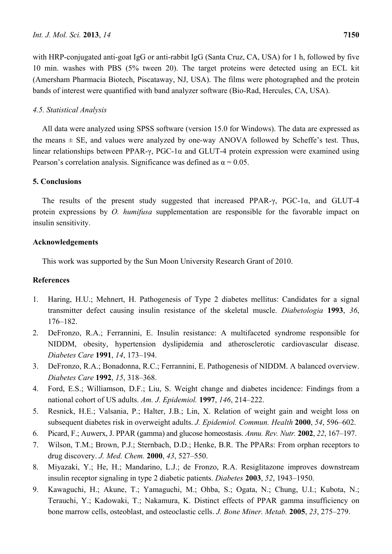with HRP-conjugated anti-goat IgG or anti-rabbit IgG (Santa Cruz, CA, USA) for 1 h, followed by five 10 min. washes with PBS (5% tween 20). The target proteins were detected using an ECL kit (Amersham Pharmacia Biotech, Piscataway, NJ, USA). The films were photographed and the protein bands of interest were quantified with band analyzer software (Bio-Rad, Hercules, CA, USA).

# *4.5. Statistical Analysis*

All data were analyzed using SPSS software (version 15.0 for Windows). The data are expressed as the means  $\pm$  SE, and values were analyzed by one-way ANOVA followed by Scheffe's test. Thus, linear relationships between PPAR-γ, PGC-1α and GLUT-4 protein expression were examined using Pearson's correlation analysis. Significance was defined as  $\alpha = 0.05$ .

# **5. Conclusions**

The results of the present study suggested that increased PPAR-γ, PGC-1α, and GLUT-4 protein expressions by *O. humifusa* supplementation are responsible for the favorable impact on insulin sensitivity.

## **Acknowledgements**

This work was supported by the Sun Moon University Research Grant of 2010.

# **References**

- 1. Haring, H.U.; Mehnert, H. Pathogenesis of Type 2 diabetes mellitus: Candidates for a signal transmitter defect causing insulin resistance of the skeletal muscle. *Diabetologia* **1993**, *36*, 176–182.
- 2. DeFronzo, R.A.; Ferrannini, E. Insulin resistance: A multifaceted syndrome responsible for NIDDM, obesity, hypertension dyslipidemia and atherosclerotic cardiovascular disease. *Diabetes Care* **1991**, *14*, 173–194.
- 3. DeFronzo, R.A.; Bonadonna, R.C.; Ferrannini, E. Pathogenesis of NIDDM. A balanced overview. *Diabetes Care* **1992**, *15*, 318–368.
- 4. Ford, E.S.; Williamson, D.F.; Liu, S. Weight change and diabetes incidence: Findings from a national cohort of US adults. *Am. J. Epidemiol.* **1997**, *146*, 214–222.
- 5. Resnick, H.E.; Valsania, P.; Halter, J.B.; Lin, X. Relation of weight gain and weight loss on subsequent diabetes risk in overweight adults. *J. Epidemiol. Commun. Health* **2000**, *54*, 596–602.
- 6. Picard, F.; Auwerx, J. PPAR (gamma) and glucose homeostasis. *Annu. Rev. Nutr.* **2002**, *22*, 167–197.
- 7. Wilson, T.M.; Brown, P.J.; Sternbach, D.D.; Henke, B.R. The PPARs: From orphan receptors to drug discovery. *J. Med. Chem.* **2000**, *43*, 527–550.
- 8. Miyazaki, Y.; He, H.; Mandarino, L.J.; de Fronzo, R.A. Resiglitazone improves downstream insulin receptor signaling in type 2 diabetic patients. *Diabetes* **2003**, *52*, 1943–1950.
- 9. Kawaguchi, H.; Akune, T.; Yamaguchi, M.; Ohba, S.; Ogata, N.; Chung, U.I.; Kubota, N.; Terauchi, Y.; Kadowaki, T.; Nakamura, K. Distinct effects of PPAR gamma insufficiency on bone marrow cells, osteoblast, and osteoclastic cells. *J. Bone Miner. Metab.* **2005**, *23*, 275–279.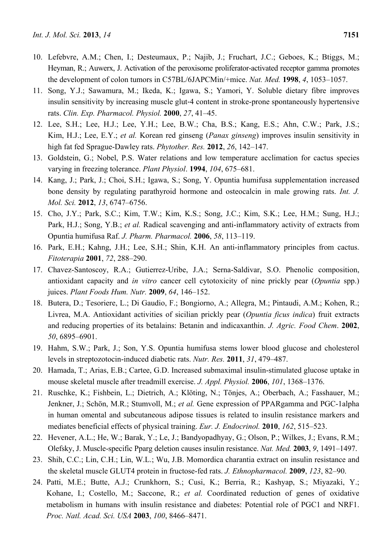- 10. Lefebvre, A.M.; Chen, I.; Desteumaux, P.; Najib, J.; Fruchart, J.C.; Geboes, K.; Btiggs, M.; Heyman, R.; Auwerx, J. Activation of the peroxisome proliferator-activated receptor gamma promotes the development of colon tumors in C57BL/6JAPCMin/+mice. *Nat. Med.* **1998**, *4*, 1053–1057.
- 11. Song, Y.J.; Sawamura, M.; Ikeda, K.; Igawa, S.; Yamori, Y. Soluble dietary fibre improves insulin sensitivity by increasing muscle glut‐4 content in stroke-prone spontaneously hypertensive rats. *Clin. Exp. Pharmacol. Physiol.* **2000**, *27*, 41–45.
- 12. Lee, S.H.; Lee, H.J.; Lee, Y.H.; Lee, B.W.; Cha, B.S.; Kang, E.S.; Ahn, C.W.; Park, J.S.; Kim, H.J.; Lee, E.Y.; *et al.* Korean red ginseng (*Panax ginseng*) improves insulin sensitivity in high fat fed Sprague-Dawley rats. *Phytother. Res.* **2012**, *26*, 142–147.
- 13. Goldstein, G.; Nobel, P.S. Water relations and low temperature acclimation for cactus species varying in freezing tolerance. *Plant Physiol*. **1994**, *104*, 675–681.
- 14. Kang, J.; Park, J.; Choi, S.H.; Igawa, S.; Song, Y. Opuntia humifusa supplementation increased bone density by regulating parathyroid hormone and osteocalcin in male growing rats. *Int. J. Mol. Sci.* **2012**, *13*, 6747–6756.
- 15. Cho, J.Y.; Park, S.C.; Kim, T.W.; Kim, K.S.; Song, J.C.; Kim, S.K.; Lee, H.M.; Sung, H.J.; Park, H.J.; Song, Y.B.; *et al.* Radical scavenging and anti-inflammatory activity of extracts from Opuntia humifusa Raf. *J. Pharm. Pharmacol.* **2006**, *58*, 113–119.
- 16. Park, E.H.; Kahng, J.H.; Lee, S.H.; Shin, K.H. An anti-inflammatory principles from cactus. *Fitoterapia* **2001**, *72*, 288–290.
- 17. Chavez-Santoscoy, R.A.; Gutierrez-Uribe, J.A.; Serna-Saldivar, S.O. Phenolic composition, antioxidant capacity and *in vitro* cancer cell cytotoxicity of nine prickly pear (*Opuntia* spp.) juices. *Plant Foods Hum. Nutr.* **2009**, *64*, 146–152.
- 18. Butera, D.; Tesoriere, L.; Di Gaudio, F.; Bongiorno, A.; Allegra, M.; Pintaudi, A.M.; Kohen, R.; Livrea, M.A. Antioxidant activities of sicilian prickly pear (*Opuntia ficus indica*) fruit extracts and reducing properties of its betalains: Betanin and indicaxanthin. *J. Agric. Food Chem*. **2002**, *50*, 6895–6901.
- 19. Hahm, S.W.; Park, J.; Son, Y.S. Opuntia humifusa stems lower blood glucose and cholesterol levels in streptozotocin-induced diabetic rats. *Nutr. Res.* **2011**, *31*, 479–487.
- 20. Hamada, T.; Arias, E.B.; Cartee, G.D. Increased submaximal insulin-stimulated glucose uptake in mouse skeletal muscle after treadmill exercise. *J. Appl. Physiol.* **2006**, *101*, 1368–1376.
- 21. Ruschke, K.; Fishbein, L.; Dietrich, A.; Klöting, N.; Tönjes, A.; Oberbach, A.; Fasshauer, M.; Jenkner, J.; Schön, M.R.; Stumvoll, M.; *et al.* Gene expression of PPARgamma and PGC-1alpha in human omental and subcutaneous adipose tissues is related to insulin resistance markers and mediates beneficial effects of physical training. *Eur. J. Endocrinol.* **2010**, *162*, 515–523.
- 22. Hevener, A.L.; He, W.; Barak, Y.; Le, J.; Bandyopadhyay, G.; Olson, P.; Wilkes, J.; Evans, R.M.; Olefsky, J. Muscle-specific Pparg deletion causes insulin resistance. *Nat. Med.* **2003**, *9*, 1491–1497.
- 23. Shih, C.C.; Lin, C.H.; Lin, W.L.; Wu, J.B. Momordica charantia extract on insulin resistance and the skeletal muscle GLUT4 protein in fructose-fed rats. *J. Ethnopharmacol.* **2009**, *123*, 82–90.
- 24. Patti, M.E.; Butte, A.J.; Crunkhorn, S.; Cusi, K.; Berria, R.; Kashyap, S.; Miyazaki, Y.; Kohane, I.; Costello, M.; Saccone, R.; *et al.* Coordinated reduction of genes of oxidative metabolism in humans with insulin resistance and diabetes: Potential role of PGC1 and NRF1. *Proc. Natl. Acad. Sci. USA* **2003**, *100*, 8466–8471.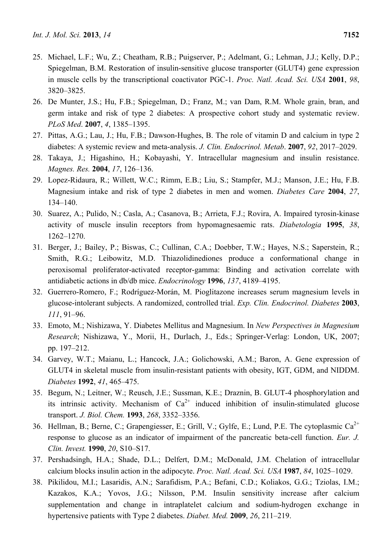- 25. Michael, L.F.; Wu, Z.; Cheatham, R.B.; Puigserver, P.; Adelmant, G.; Lehman, J.J.; Kelly, D.P.; Spiegelman, B.M. Restoration of insulin-sensitive glucose transporter (GLUT4) gene expression in muscle cells by the transcriptional coactivator PGC-1. *Proc. Natl. Acad. Sci. USA* **2001**, *98*, 3820–3825.
- 26. De Munter, J.S.; Hu, F.B.; Spiegelman, D.; Franz, M.; van Dam, R.M. Whole grain, bran, and germ intake and risk of type 2 diabetes: A prospective cohort study and systematic review. *PLoS Med*. **2007**, *4*, 1385–1395.
- 27. Pittas, A.G.; Lau, J.; Hu, F.B.; Dawson-Hughes, B. The role of vitamin D and calcium in type 2 diabetes: A systemic review and meta-analysis. *J. Clin. Endocrinol. Metab*. **2007**, *92*, 2017–2029.
- 28. Takaya, J.; Higashino, H.; Kobayashi, Y. Intracellular magnesium and insulin resistance. *Magnes. Res.* **2004**, *17*, 126–136.
- 29. Lopez-Ridaura, R.; Willett, W.C.; Rimm, E.B.; Liu, S.; Stampfer, M.J.; Manson, J.E.; Hu, F.B. Magnesium intake and risk of type 2 diabetes in men and women. *Diabetes Care* **2004**, *27*, 134–140.
- 30. Suarez, A.; Pulido, N.; Casla, A.; Casanova, B.; Arrieta, F.J.; Rovira, A. Impaired tyrosin-kinase activity of muscle insulin receptors from hypomagnesaemic rats. *Diabetologia* **1995**, *38*, 1262–1270.
- 31. Berger, J.; Bailey, P.; Biswas, C.; Cullinan, C.A.; Doebber, T.W.; Hayes, N.S.; Saperstein, R.; Smith, R.G.; Leibowitz, M.D. Thiazolidinediones produce a conformational change in peroxisomal proliferator-activated receptor-gamma: Binding and activation correlate with antidiabetic actions in db/db mice. *Endocrinology* **1996**, *137*, 4189–4195.
- 32. Guerrero-Romero, F.; Rodríguez-Morán, M. Pioglitazone increases serum magnesium levels in glucose-intolerant subjects. A randomized, controlled trial. *Exp. Clin. Endocrinol. Diabetes* **2003**, *111*, 91–96.
- 33. Emoto, M.; Nishizawa, Y. Diabetes Mellitus and Magnesium. In *New Perspectives in Magnesium Research*; Nishizawa, Y., Morii, H., Durlach, J., Eds.; Springer-Verlag: London, UK, 2007; pp. 197–212.
- 34. Garvey, W.T.; Maianu, L.; Hancock, J.A.; Golichowski, A.M.; Baron, A. Gene expression of GLUT4 in skeletal muscle from insulin-resistant patients with obesity, IGT, GDM, and NIDDM. *Diabetes* **1992**, *41*, 465–475.
- 35. Begum, N.; Leitner, W.; Reusch, J.E.; Sussman, K.E.; Draznin, B. GLUT-4 phosphorylation and its intrinsic activity. Mechanism of  $Ca^{2+}$  induced inhibition of insulin-stimulated glucose transport. *J. Biol. Chem.* **1993**, *268*, 3352–3356.
- 36. Hellman, B.; Berne, C.; Grapengiesser, E.; Grill, V.; Gylfe, E.; Lund, P.E. The cytoplasmic  $Ca^{2+}$ response to glucose as an indicator of impairment of the pancreatic beta-cell function. *Eur. J. Clin. Invest.* **1990**, *20*, S10–S17.
- 37. Pershadsingh, H.A.; Shade, D.L.; Delfert, D.M.; McDonald, J.M. Chelation of intracellular calcium blocks insulin action in the adipocyte. *Proc. Natl. Acad. Sci. USA* **1987**, *84*, 1025–1029.
- 38. Pikilidou, M.I.; Lasaridis, A.N.; Sarafidism, P.A.; Befani, C.D.; Koliakos, G.G.; Tziolas, I.M.; Kazakos, K.A.; Yovos, J.G.; Nilsson, P.M. Insulin sensitivity increase after calcium supplementation and change in intraplatelet calcium and sodium-hydrogen exchange in hypertensive patients with Type 2 diabetes. *Diabet. Med.* **2009**, *26*, 211–219.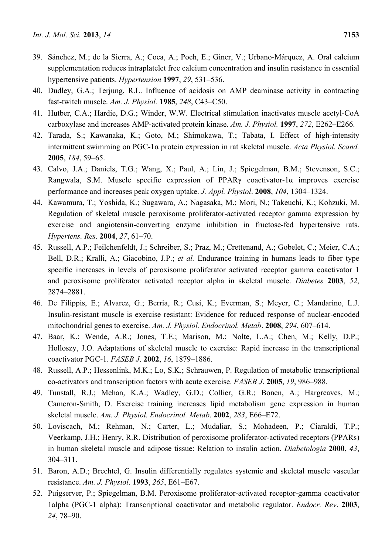- 39. Sánchez, M.; de la Sierra, A.; Coca, A.; Poch, E.; Giner, V.; Urbano-Márquez, A. Oral calcium supplementation reduces intraplatelet free calcium concentration and insulin resistance in essential hypertensive patients. *Hypertension* **1997**, *29*, 531–536.
- 40. Dudley, G.A.; Terjung, R.L. Influence of acidosis on AMP deaminase activity in contracting fast-twitch muscle. *Am. J. Physiol.* **1985**, *248*, C43–C50.
- 41. Hutber, C.A.; Hardie, D.G.; Winder, W.W. Electrical stimulation inactivates muscle acetyl-CoA carboxylase and increases AMP-activated protein kinase. *Am. J. Physiol.* **1997**, *272*, E262–E266.
- 42. Tarada, S.; Kawanaka, K.; Goto, M.; Shimokawa, T.; Tabata, I. Effect of high-intensity intermittent swimming on PGC-1α protein expression in rat skeletal muscle. *Acta Physiol. Scand.* **2005**, *184*, 59–65.
- 43. Calvo, J.A.; Daniels, T.G.; Wang, X.; Paul, A.; Lin, J.; Spiegelman, B.M.; Stevenson, S.C.; Rangwala, S.M. Muscle specific expression of PPARγ coactivator-1α improves exercise performance and increases peak oxygen uptake. *J. Appl. Physiol*. **2008**, *104*, 1304–1324.
- 44. Kawamura, T.; Yoshida, K.; Sugawara, A.; Nagasaka, M.; Mori, N.; Takeuchi, K.; Kohzuki, M. Regulation of skeletal muscle peroxisome proliferator-activated receptor gamma expression by exercise and angiotensin-converting enzyme inhibition in fructose-fed hypertensive rats. *Hypertens. Res*. **2004**, *27*, 61–70.
- 45. Russell, A.P.; Feilchenfeldt, J.; Schreiber, S.; Praz, M.; Crettenand, A.; Gobelet, C.; Meier, C.A.; Bell, D.R.; Kralli, A.; Giacobino, J.P.; *et al.* Endurance training in humans leads to fiber type specific increases in levels of peroxisome proliferator activated receptor gamma coactivator 1 and peroxisome proliferator activated receptor alpha in skeletal muscle. *Diabetes* **2003**, *52*, 2874–2881.
- 46. De Filippis, E.; Alvarez, G.; Berria, R.; Cusi, K.; Everman, S.; Meyer, C.; Mandarino, L.J. Insulin-resistant muscle is exercise resistant: Evidence for reduced response of nuclear-encoded mitochondrial genes to exercise. *Am. J. Physiol. Endocrinol. Metab*. **2008**, *294*, 607–614.
- 47. Baar, K.; Wende, A.R.; Jones, T.E.; Marison, M.; Nolte, L.A.; Chen, M.; Kelly, D.P.; Holloszy, J.O. Adaptations of skeletal muscle to exercise: Rapid increase in the transcriptional coactivator PGC-1. *FASEB J*. **2002**, *16*, 1879–1886.
- 48. Russell, A.P.; Hessenlink, M.K.; Lo, S.K.; Schrauwen, P. Regulation of metabolic transcriptional co-activators and transcription factors with acute exercise. *FASEB J*. **2005**, *19*, 986–988.
- 49. Tunstall, R.J.; Mehan, K.A.; Wadley, G.D.; Collier, G.R.; Bonen, A.; Hargreaves, M.; Cameron-Smith, D. Exercise training increases lipid metabolism gene expression in human skeletal muscle. *Am. J. Physiol. Endocrinol. Metab*. **2002**, *283*, E66–E72.
- 50. Loviscach, M.; Rehman, N.; Carter, L.; Mudaliar, S.; Mohadeen, P.; Ciaraldi, T.P.; Veerkamp, J.H.; Henry, R.R. Distribution of peroxisome proliferator-activated receptors (PPARs) in human skeletal muscle and adipose tissue: Relation to insulin action. *Diabetologia* **2000**, *43*, 304–311.
- 51. Baron, A.D.; Brechtel, G. Insulin differentially regulates systemic and skeletal muscle vascular resistance. *Am. J. Physiol*. **1993**, *265*, E61–E67.
- 52. Puigserver, P.; Spiegelman, B.M. Peroxisome proliferator-activated receptor-gamma coactivator 1alpha (PGC-1 alpha): Transcriptional coactivator and metabolic regulator. *Endocr. Rev*. **2003**, *24*, 78–90.